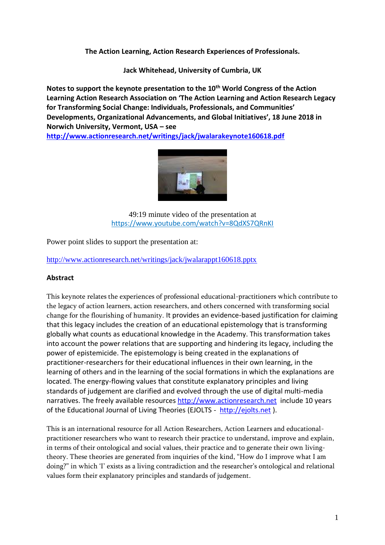**The Action Learning, Action Research Experiences of Professionals.**

**Jack Whitehead, University of Cumbria, UK**

**Notes to support the keynote presentation to the 10th World Congress of the Action Learning Action Research Association on 'The Action Learning and Action Research Legacy for Transforming Social Change: Individuals, Professionals, and Communities' Developments, Organizational Advancements, and Global Initiatives', 18 June 2018 in Norwich University, Vermont, USA – see <http://www.actionresearch.net/writings/jack/jwalarakeynote160618.pdf>**



49:19 minute video of the presentation at <https://www.youtube.com/watch?v=8QdXS7QRnKI>

Power point slides to support the presentation at:

<http://www.actionresearch.net/writings/jack/jwalarappt160618.pptx>

#### **Abstract**

This keynote relates the experiences of professional educational-practitioners which contribute to the legacy of action learners, action researchers, and others concerned with transforming social change for the flourishing of humanity. It provides an evidence-based justification for claiming that this legacy includes the creation of an educational epistemology that is transforming globally what counts as educational knowledge in the Academy. This transformation takes into account the power relations that are supporting and hindering its legacy, including the power of epistemicide. The epistemology is being created in the explanations of practitioner-researchers for their educational influences in their own learning, in the learning of others and in the learning of the social formations in which the explanations are located. The energy-flowing values that constitute explanatory principles and living standards of judgement are clarified and evolved through the use of digital multi-media narratives. The freely available resources [http://www.actionresearch.net](http://www.actionresearch.net/) include 10 years of the Educational Journal of Living Theories (EJOLTS - [http://ejolts.net](http://ejolts.net/) ).

This is an international resource for all Action Researchers, Action Learners and educationalpractitioner researchers who want to research their practice to understand, improve and explain, in terms of their ontological and social values, their practice and to generate their own livingtheory. These theories are generated from inquiries of the kind, "How do I improve what I am doing?" in which 'I' exists as a living contradiction and the researcher's ontological and relational values form their explanatory principles and standards of judgement.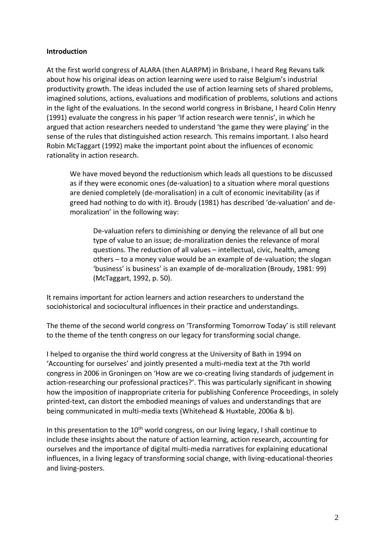#### **Introduction**

At the first world congress of ALARA (then ALARPM) in Brisbane, I heard Reg Revans talk about how his original ideas on action learning were used to raise Belgium's industrial productivity growth. The ideas included the use of action learning sets of shared problems, imagined solutions, actions, evaluations and modification of problems, solutions and actions in the light of the evaluations. In the second world congress in Brisbane, I heard Colin Henry (1991) evaluate the congress in his paper 'If action research were tennis', in which he argued that action researchers needed to understand 'the game they were playing' in the sense of the rules that distinguished action research. This remains important. I also heard Robin McTaggart (1992) make the important point about the influences of economic rationality in action research.

We have moved beyond the reductionism which leads all questions to be discussed as if they were economic ones (de-valuation) to a situation where moral questions are denied completely (de-moralisation) in a cult of economic inevitability (as if greed had nothing to do with it). Broudy (1981) has described 'de-valuation' and demoralization' in the following way:

De-valuation refers to diminishing or denying the relevance of all but one type of value to an issue; de-moralization denies the relevance of moral questions. The reduction of all values – intellectual, civic, health, among others – to a money value would be an example of de-valuation; the slogan 'business' is business' is an example of de-moralization (Broudy, 1981: 99) (McTaggart, 1992, p. 50).

It remains important for action learners and action researchers to understand the sociohistorical and sociocultural influences in their practice and understandings.

The theme of the second world congress on 'Transforming Tomorrow Today' is still relevant to the theme of the tenth congress on our legacy for transforming social change.

I helped to organise the third world congress at the University of Bath in 1994 on 'Accounting for ourselves' and jointly presented a multi-media text at the 7th world congress in 2006 in Groningen on 'How are we co-creating living standards of judgement in action-researching our professional practices?'. This was particularly significant in showing how the imposition of inappropriate criteria for publishing Conference Proceedings, in solely printed-text, can distort the embodied meanings of values and understandings that are being communicated in multi-media texts (Whitehead & Huxtable, 2006a & b).

In this presentation to the  $10<sup>th</sup>$  world congress, on our living legacy, I shall continue to include these insights about the nature of action learning, action research, accounting for ourselves and the importance of digital multi-media narratives for explaining educational influences, in a living legacy of transforming social change, with living-educational-theories and living-posters.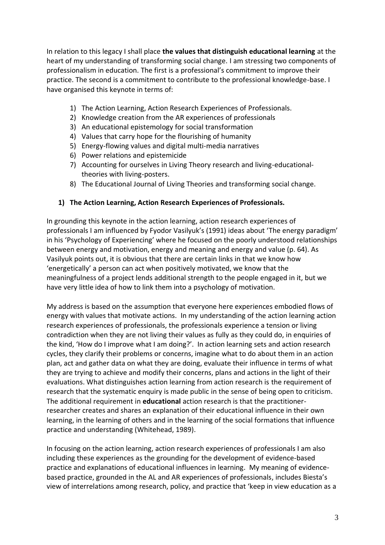In relation to this legacy I shall place **the values that distinguish educational learning** at the heart of my understanding of transforming social change. I am stressing two components of professionalism in education. The first is a professional's commitment to improve their practice. The second is a commitment to contribute to the professional knowledge-base. I have organised this keynote in terms of:

- 1) The Action Learning, Action Research Experiences of Professionals.
- 2) Knowledge creation from the AR experiences of professionals
- 3) An educational epistemology for social transformation
- 4) Values that carry hope for the flourishing of humanity
- 5) Energy-flowing values and digital multi-media narratives
- 6) Power relations and epistemicide
- 7) Accounting for ourselves in Living Theory research and living-educationaltheories with living-posters.
- 8) The Educational Journal of Living Theories and transforming social change.

#### **1) The Action Learning, Action Research Experiences of Professionals.**

In grounding this keynote in the action learning, action research experiences of professionals I am influenced by Fyodor Vasilyuk's (1991) ideas about 'The energy paradigm' in his 'Psychology of Experiencing' where he focused on the poorly understood relationships between energy and motivation, energy and meaning and energy and value (p. 64). As Vasilyuk points out, it is obvious that there are certain links in that we know how 'energetically' a person can act when positively motivated, we know that the meaningfulness of a project lends additional strength to the people engaged in it, but we have very little idea of how to link them into a psychology of motivation.

My address is based on the assumption that everyone here experiences embodied flows of energy with values that motivate actions. In my understanding of the action learning action research experiences of professionals, the professionals experience a tension or living contradiction when they are not living their values as fully as they could do, in enquiries of the kind, 'How do I improve what I am doing?'. In action learning sets and action research cycles, they clarify their problems or concerns, imagine what to do about them in an action plan, act and gather data on what they are doing, evaluate their influence in terms of what they are trying to achieve and modify their concerns, plans and actions in the light of their evaluations. What distinguishes action learning from action research is the requirement of research that the systematic enquiry is made public in the sense of being open to criticism. The additional requirement in **educational** action research is that the practitionerresearcher creates and shares an explanation of their educational influence in their own learning, in the learning of others and in the learning of the social formations that influence practice and understanding (Whitehead, 1989).

In focusing on the action learning, action research experiences of professionals I am also including these experiences as the grounding for the development of evidence-based practice and explanations of educational influences in learning. My meaning of evidencebased practice, grounded in the AL and AR experiences of professionals, includes Biesta's view of interrelations among research, policy, and practice that 'keep in view education as a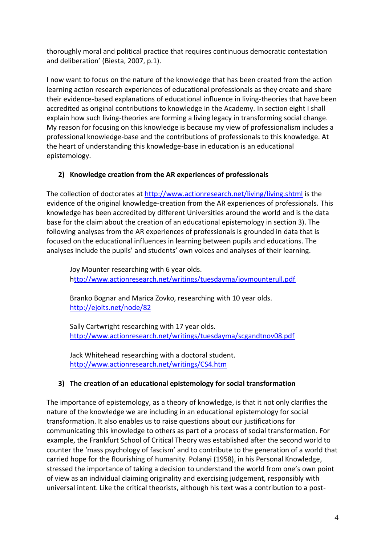thoroughly moral and political practice that requires continuous democratic contestation and deliberation' (Biesta, 2007, p.1).

I now want to focus on the nature of the knowledge that has been created from the action learning action research experiences of educational professionals as they create and share their evidence-based explanations of educational influence in living-theories that have been accredited as original contributions to knowledge in the Academy. In section eight I shall explain how such living-theories are forming a living legacy in transforming social change. My reason for focusing on this knowledge is because my view of professionalism includes a professional knowledge-base and the contributions of professionals to this knowledge. At the heart of understanding this knowledge-base in education is an educational epistemology.

### **2) Knowledge creation from the AR experiences of professionals**

The collection of doctorates at<http://www.actionresearch.net/living/living.shtml> is the evidence of the original knowledge-creation from the AR experiences of professionals. This knowledge has been accredited by different Universities around the world and is the data base for the claim about the creation of an educational epistemology in section 3). The following analyses from the AR experiences of professionals is grounded in data that is focused on the educational influences in learning between pupils and educations. The analyses include the pupils' and students' own voices and analyses of their learning.

Joy Mounter researching with 6 year olds. <http://www.actionresearch.net/writings/tuesdayma/joymounterull.pdf>

Branko Bognar and Marica Zovko, researching with 10 year olds. <http://ejolts.net/node/82>

Sally Cartwright researching with 17 year olds. <http://www.actionresearch.net/writings/tuesdayma/scgandtnov08.pdf>

Jack Whitehead researching with a doctoral student. <http://www.actionresearch.net/writings/CS4.htm>

# **3) The creation of an educational epistemology for social transformation**

The importance of epistemology, as a theory of knowledge, is that it not only clarifies the nature of the knowledge we are including in an educational epistemology for social transformation. It also enables us to raise questions about our justifications for communicating this knowledge to others as part of a process of social transformation. For example, the Frankfurt School of Critical Theory was established after the second world to counter the 'mass psychology of fascism' and to contribute to the generation of a world that carried hope for the flourishing of humanity. Polanyi (1958), in his Personal Knowledge, stressed the importance of taking a decision to understand the world from one's own point of view as an individual claiming originality and exercising judgement, responsibly with universal intent. Like the critical theorists, although his text was a contribution to a post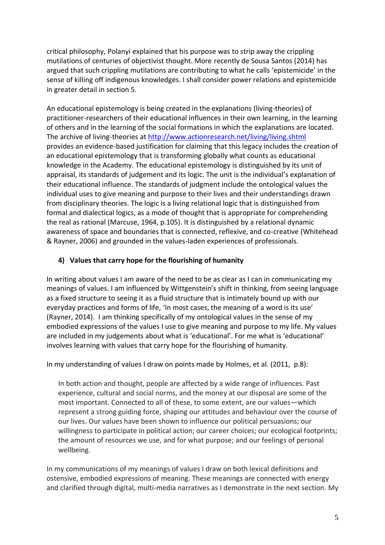critical philosophy, Polanyi explained that his purpose was to strip away the crippling mutilations of centuries of objectivist thought. More recently de Sousa Santos (2014) has argued that such crippling mutilations are contributing to what he calls 'epistemicide' in the sense of killing off indigenous knowledges. I shall consider power relations and epistemicide in greater detail in section 5.

An educational epistemology is being created in the explanations (living-theories) of practitioner-researchers of their educational influences in their own learning, in the learning of others and in the learning of the social formations in which the explanations are located. The archive of living-theories a[t http://www.actionresearch.net/living/living.shtml](http://www.actionresearch.net/living/living.shtml) provides an evidence-based justification for claiming that this legacy includes the creation of an educational epistemology that is transforming globally what counts as educational knowledge in the Academy. The educational epistemology is distinguished by its unit of appraisal, its standards of judgement and its logic. The unit is the individual's explanation of their educational influence. The standards of judgment include the ontological values the individual uses to give meaning and purpose to their lives and their understandings drawn from disciplinary theories. The logic is a living relational logic that is distinguished from formal and dialectical logics, as a mode of thought that is appropriate for comprehending the real as rational (Marcuse, 1964, p.105). It is distinguished by a relational dynamic awareness of space and boundaries that is connected, reflexive, and co-creative (Whitehead & Rayner, 2006) and grounded in the values-laden experiences of professionals.

### **4) Values that carry hope for the flourishing of humanity**

In writing about values I am aware of the need to be as clear as I can in communicating my meanings of values. I am influenced by Wittgenstein's shift in thinking, from seeing language as a fixed structure to seeing it as a fluid structure that is intimately bound up with our everyday practices and forms of life, 'In most cases, the meaning of a word is its use' (Rayner, 2014). I am thinking specifically of my ontological values in the sense of my embodied expressions of the values I use to give meaning and purpose to my life. My values are included in my judgements about what is 'educational'. For me what is 'educational' involves learning with values that carry hope for the flourishing of humanity.

In my understanding of values I draw on points made by Holmes, et al. (2011, p.8):

In both action and thought, people are affected by a wide range of influences. Past experience, cultural and social norms, and the money at our disposal are some of the most important. Connected to all of these, to some extent, are our values—which represent a strong guiding force, shaping our attitudes and behaviour over the course of our lives. Our values have been shown to influence our political persuasions; our willingness to participate in political action; our career choices; our ecological footprints; the amount of resources we use, and for what purpose; and our feelings of personal wellbeing.

In my communications of my meanings of values I draw on both lexical definitions and ostensive, embodied expressions of meaning. These meanings are connected with energy and clarified through digital, multi-media narratives as I demonstrate in the next section. My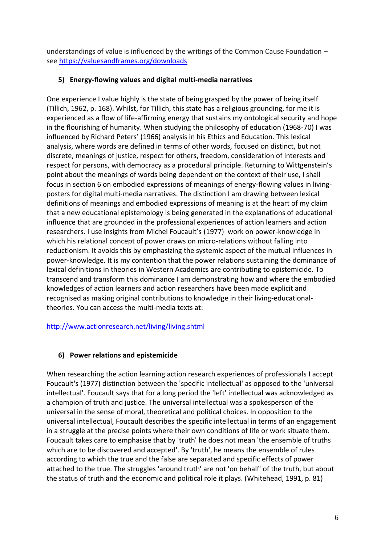understandings of value is influenced by the writings of the Common Cause Foundation – see<https://valuesandframes.org/downloads>

## **5) Energy-flowing values and digital multi-media narratives**

One experience I value highly is the state of being grasped by the power of being itself (Tillich, 1962, p. 168). Whilst, for Tillich, this state has a religious grounding, for me it is experienced as a flow of life-affirming energy that sustains my ontological security and hope in the flourishing of humanity. When studying the philosophy of education (1968-70) I was influenced by Richard Peters' (1966) analysis in his Ethics and Education. This lexical analysis, where words are defined in terms of other words, focused on distinct, but not discrete, meanings of justice, respect for others, freedom, consideration of interests and respect for persons, with democracy as a procedural principle. Returning to Wittgenstein's point about the meanings of words being dependent on the context of their use, I shall focus in section 6 on embodied expressions of meanings of energy-flowing values in livingposters for digital multi-media narratives. The distinction I am drawing between lexical definitions of meanings and embodied expressions of meaning is at the heart of my claim that a new educational epistemology is being generated in the explanations of educational influence that are grounded in the professional experiences of action learners and action researchers. I use insights from Michel Foucault's (1977) work on power-knowledge in which his relational concept of power draws on micro-relations without falling into reductionism. It avoids this by emphasizing the systemic aspect of the mutual influences in power-knowledge. It is my contention that the power relations sustaining the dominance of lexical definitions in theories in Western Academics are contributing to epistemicide. To transcend and transform this dominance I am demonstrating how and where the embodied knowledges of action learners and action researchers have been made explicit and recognised as making original contributions to knowledge in their living-educationaltheories. You can access the multi-media texts at:

<http://www.actionresearch.net/living/living.shtml>

# **6) Power relations and epistemicide**

When researching the action learning action research experiences of professionals I accept Foucault's (1977) distinction between the 'specific intellectual' as opposed to the 'universal intellectual'. Foucault says that for a long period the 'left' intellectual was acknowledged as a champion of truth and justice. The universal intellectual was a spokesperson of the universal in the sense of moral, theoretical and political choices. In opposition to the universal intellectual, Foucault describes the specific intellectual in terms of an engagement in a struggle at the precise points where their own conditions of life or work situate them. Foucault takes care to emphasise that by 'truth' he does not mean 'the ensemble of truths which are to be discovered and accepted'. By 'truth', he means the ensemble of rules according to which the true and the false are separated and specific effects of power attached to the true. The struggles 'around truth' are not 'on behalf' of the truth, but about the status of truth and the economic and political role it plays. (Whitehead, 1991, p. 81)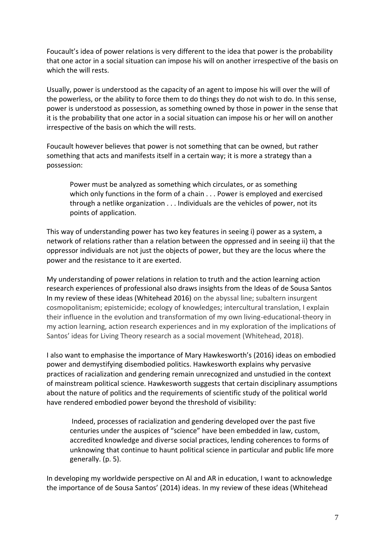Foucault's idea of power relations is very different to the idea that power is the probability that one actor in a social situation can impose his will on another irrespective of the basis on which the will rests.

Usually, power is understood as the capacity of an agent to impose his will over the will of the powerless, or the ability to force them to do things they do not wish to do. In this sense, power is understood as possession, as something owned by those in power in the sense that it is the probability that one actor in a social situation can impose his or her will on another irrespective of the basis on which the will rests.

Foucault however believes that power is not something that can be owned, but rather something that acts and manifests itself in a certain way; it is more a strategy than a possession:

Power must be analyzed as something which circulates, or as something which only functions in the form of a chain . . . Power is employed and exercised through a netlike organization . . . Individuals are the vehicles of power, not its points of application.

This way of understanding power has two key features in seeing i) power as a system, a network of relations rather than a relation between the oppressed and in seeing ii) that the oppressor individuals are not just the objects of power, but they are the locus where the power and the resistance to it are exerted.

My understanding of power relations in relation to truth and the action learning action research experiences of professional also draws insights from the Ideas of de Sousa Santos In my review of these ideas (Whitehead 2016) on the abyssal line; subaltern insurgent cosmopolitanism; epistemicide; ecology of knowledges; intercultural translation, I explain their influence in the evolution and transformation of my own living-educational-theory in my action learning, action research experiences and in my exploration of the implications of Santos' ideas for Living Theory research as a social movement (Whitehead, 2018).

I also want to emphasise the importance of Mary Hawkesworth's (2016) ideas on embodied power and demystifying disembodied politics. Hawkesworth explains why pervasive practices of racialization and gendering remain unrecognized and unstudied in the context of mainstream political science. Hawkesworth suggests that certain disciplinary assumptions about the nature of politics and the requirements of scientific study of the political world have rendered embodied power beyond the threshold of visibility:

Indeed, processes of racialization and gendering developed over the past five centuries under the auspices of "science" have been embedded in law, custom, accredited knowledge and diverse social practices, lending coherences to forms of unknowing that continue to haunt political science in particular and public life more generally. (p. 5).

In developing my worldwide perspective on Al and AR in education, I want to acknowledge the importance of de Sousa Santos' (2014) ideas. In my review of these ideas (Whitehead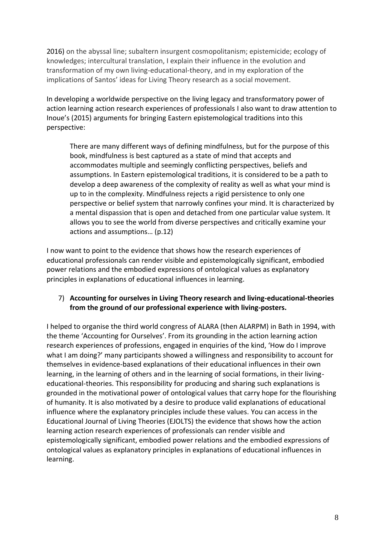2016) on the abyssal line; subaltern insurgent cosmopolitanism; epistemicide; ecology of knowledges; intercultural translation, I explain their influence in the evolution and transformation of my own living-educational-theory, and in my exploration of the implications of Santos' ideas for Living Theory research as a social movement.

In developing a worldwide perspective on the living legacy and transformatory power of action learning action research experiences of professionals I also want to draw attention to Inoue's (2015) arguments for bringing Eastern epistemological traditions into this perspective:

There are many different ways of defining mindfulness, but for the purpose of this book, mindfulness is best captured as a state of mind that accepts and accommodates multiple and seemingly conflicting perspectives, beliefs and assumptions. In Eastern epistemological traditions, it is considered to be a path to develop a deep awareness of the complexity of reality as well as what your mind is up to in the complexity. Mindfulness rejects a rigid persistence to only one perspective or belief system that narrowly confines your mind. It is characterized by a mental dispassion that is open and detached from one particular value system. It allows you to see the world from diverse perspectives and critically examine your actions and assumptions… (p.12)

I now want to point to the evidence that shows how the research experiences of educational professionals can render visible and epistemologically significant, embodied power relations and the embodied expressions of ontological values as explanatory principles in explanations of educational influences in learning.

### 7) **Accounting for ourselves in Living Theory research and living-educational-theories from the ground of our professional experience with living-posters.**

I helped to organise the third world congress of ALARA (then ALARPM) in Bath in 1994, with the theme 'Accounting for Ourselves'. From its grounding in the action learning action research experiences of professions, engaged in enquiries of the kind, 'How do I improve what I am doing?' many participants showed a willingness and responsibility to account for themselves in evidence-based explanations of their educational influences in their own learning, in the learning of others and in the learning of social formations, in their livingeducational-theories. This responsibility for producing and sharing such explanations is grounded in the motivational power of ontological values that carry hope for the flourishing of humanity. It is also motivated by a desire to produce valid explanations of educational influence where the explanatory principles include these values. You can access in the Educational Journal of Living Theories (EJOLTS) the evidence that shows how the action learning action research experiences of professionals can render visible and epistemologically significant, embodied power relations and the embodied expressions of ontological values as explanatory principles in explanations of educational influences in learning.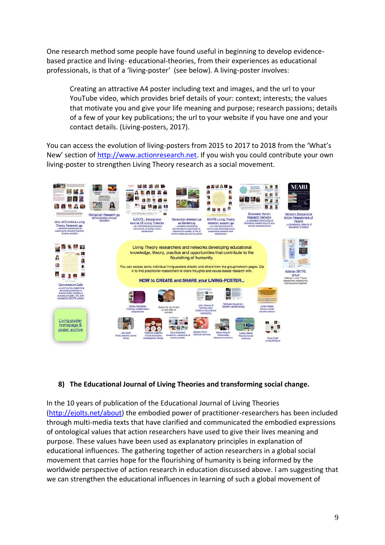One research method some people have found useful in beginning to develop evidencebased practice and living- educational-theories, from their experiences as educational professionals, is that of a 'living-poster' (see below). A living-poster involves:

Creating an attractive A4 poster including text and images, and the url to your YouTube video, which provides brief details of your: context; interests; the values that motivate you and give your life meaning and purpose; research passions; details of a few of your key publications; the url to your website if you have one and your contact details. (Living-posters, 2017).

You can access the evolution of living-posters from 2015 to 2017 to 2018 from the 'What's New' section of [http://www.actionresearch.net.](http://www.actionresearch.net/) If you wish you could contribute your own living-poster to strengthen Living Theory research as a social movement.



# **8) The Educational Journal of Living Theories and transforming social change.**

In the 10 years of publication of the Educational Journal of Living Theories [\(http://ejolts.net/about\)](http://ejolts.net/about) the embodied power of practitioner-researchers has been included through multi-media texts that have clarified and communicated the embodied expressions of ontological values that action researchers have used to give their lives meaning and purpose. These values have been used as explanatory principles in explanation of educational influences. The gathering together of action researchers in a global social movement that carries hope for the flourishing of humanity is being informed by the worldwide perspective of action research in education discussed above. I am suggesting that we can strengthen the educational influences in learning of such a global movement of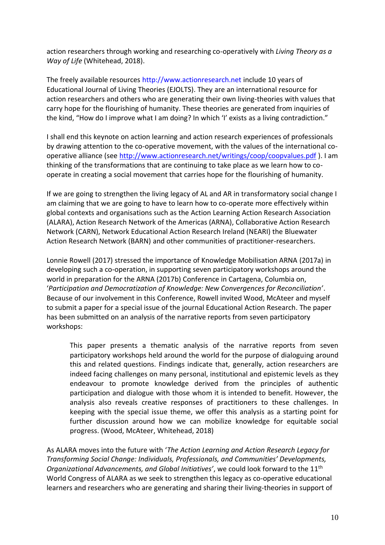action researchers through working and researching co-operatively with *Living Theory as a Way of Life* (Whitehead, 2018).

The freely available resources http://www.actionresearch.net include 10 years of Educational Journal of Living Theories (EJOLTS). They are an international resource for action researchers and others who are generating their own living-theories with values that carry hope for the flourishing of humanity. These theories are generated from inquiries of the kind, "How do I improve what I am doing? In which 'I' exists as a living contradiction."

I shall end this keynote on action learning and action research experiences of professionals by drawing attention to the co-operative movement, with the values of the international cooperative alliance (see<http://www.actionresearch.net/writings/coop/coopvalues.pdf> ). I am thinking of the transformations that are continuing to take place as we learn how to cooperate in creating a social movement that carries hope for the flourishing of humanity.

If we are going to strengthen the living legacy of AL and AR in transformatory social change I am claiming that we are going to have to learn how to co-operate more effectively within global contexts and organisations such as the Action Learning Action Research Association (ALARA), Action Research Network of the Americas (ARNA), Collaborative Action Research Network (CARN), Network Educational Action Research Ireland (NEARI) the Bluewater Action Research Network (BARN) and other communities of practitioner-researchers.

Lonnie Rowell (2017) stressed the importance of Knowledge Mobilisation ARNA (2017a) in developing such a co-operation, in supporting seven participatory workshops around the world in preparation for the ARNA (2017b) Conference in Cartagena, Columbia on, '*Participation and Democratization of Knowledge: New Convergences for Reconciliation'*. Because of our involvement in this Conference, Rowell invited Wood, McAteer and myself to submit a paper for a special issue of the journal Educational Action Research. The paper has been submitted on an analysis of the narrative reports from seven participatory workshops:

This paper presents a thematic analysis of the narrative reports from seven participatory workshops held around the world for the purpose of dialoguing around this and related questions. Findings indicate that, generally, action researchers are indeed facing challenges on many personal, institutional and epistemic levels as they endeavour to promote knowledge derived from the principles of authentic participation and dialogue with those whom it is intended to benefit. However, the analysis also reveals creative responses of practitioners to these challenges. In keeping with the special issue theme, we offer this analysis as a starting point for further discussion around how we can mobilize knowledge for equitable social progress. (Wood, McAteer, Whitehead, 2018)

As ALARA moves into the future with '*The Action Learning and Action Research Legacy for Transforming Social Change: Individuals, Professionals, and Communities' Developments, Organizational Advancements, and Global Initiatives'*, we could look forward to the 11th World Congress of ALARA as we seek to strengthen this legacy as co-operative educational learners and researchers who are generating and sharing their living-theories in support of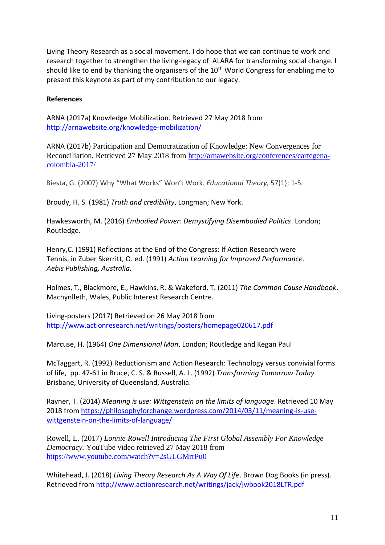Living Theory Research as a social movement. I do hope that we can continue to work and research together to strengthen the living-legacy of ALARA for transforming social change. I should like to end by thanking the organisers of the 10<sup>th</sup> World Congress for enabling me to present this keynote as part of my contribution to our legacy.

#### **References**

ARNA (2017a) Knowledge Mobilization. Retrieved 27 May 2018 from <http://arnawebsite.org/knowledge-mobilization/>

ARNA (2017b) Participation and Democratization of Knowledge: New Convergences for Reconciliation. Retrieved 27 May 2018 from [http://arnawebsite.org/conferences/cartegena](http://arnawebsite.org/conferences/cartegena-colombia-2017/)[colombia-2017/](http://arnawebsite.org/conferences/cartegena-colombia-2017/)

Biesta, G. (2007) Why "What Works" Won't Work. *Educational Theory,* 57(1); 1-5*.*

Broudy, H. S. (1981) *Truth and credibility*, Longman; New York.

Hawkesworth, M. (2016) *Embodied Power: Demystifying Disembodied Politics*. London; Routledge.

Henry,C. (1991) Reflections at the End of the Congress: If Action Research were Tennis, in Zuber Skerritt, O. ed. (1991) *Action Learning for Improved Performance. Aebis Publishing, Australia.*

Holmes, T., Blackmore, E., Hawkins, R. & Wakeford, T. (2011) *The Common Cause Handbook*. Machynlleth, Wales, Public Interest Research Centre.

Living-posters (2017) Retrieved on 26 May 2018 from <http://www.actionresearch.net/writings/posters/homepage020617.pdf>

Marcuse, H. (1964) *One Dimensional Man*, London; Routledge and Kegan Paul

McTaggart, R. (1992) Reductionism and Action Research: Technology versus convivial forms of life, pp. 47-61 in Bruce, C. S. & Russell, A. L. (1992) *Transforming Tomorrow Today.* Brisbane, University of Queensland, Australia.

Rayner, T. (2014) *Meaning is use: Wittgenstein on the limits of language*. Retrieved 10 May 2018 from [https://philosophyforchange.wordpress.com/2014/03/11/meaning-is-use](https://philosophyforchange.wordpress.com/2014/03/11/meaning-is-use-wittgenstein-on-the-limits-of-language/)[wittgenstein-on-the-limits-of-language/](https://philosophyforchange.wordpress.com/2014/03/11/meaning-is-use-wittgenstein-on-the-limits-of-language/)

Rowell, L. (2017) *Lonnie Rowell Introducing The First Global Assembly For Knowledge Democracy.* YouTube video retrieved 27 May 2018 from <https://www.youtube.com/watch?v=2sGLGMrrPu0>

Whitehead, J. (2018) *Living Theory Research As A Way Of Life*. Brown Dog Books (in press). Retrieved from<http://www.actionresearch.net/writings/jack/jwbook2018LTR.pdf>